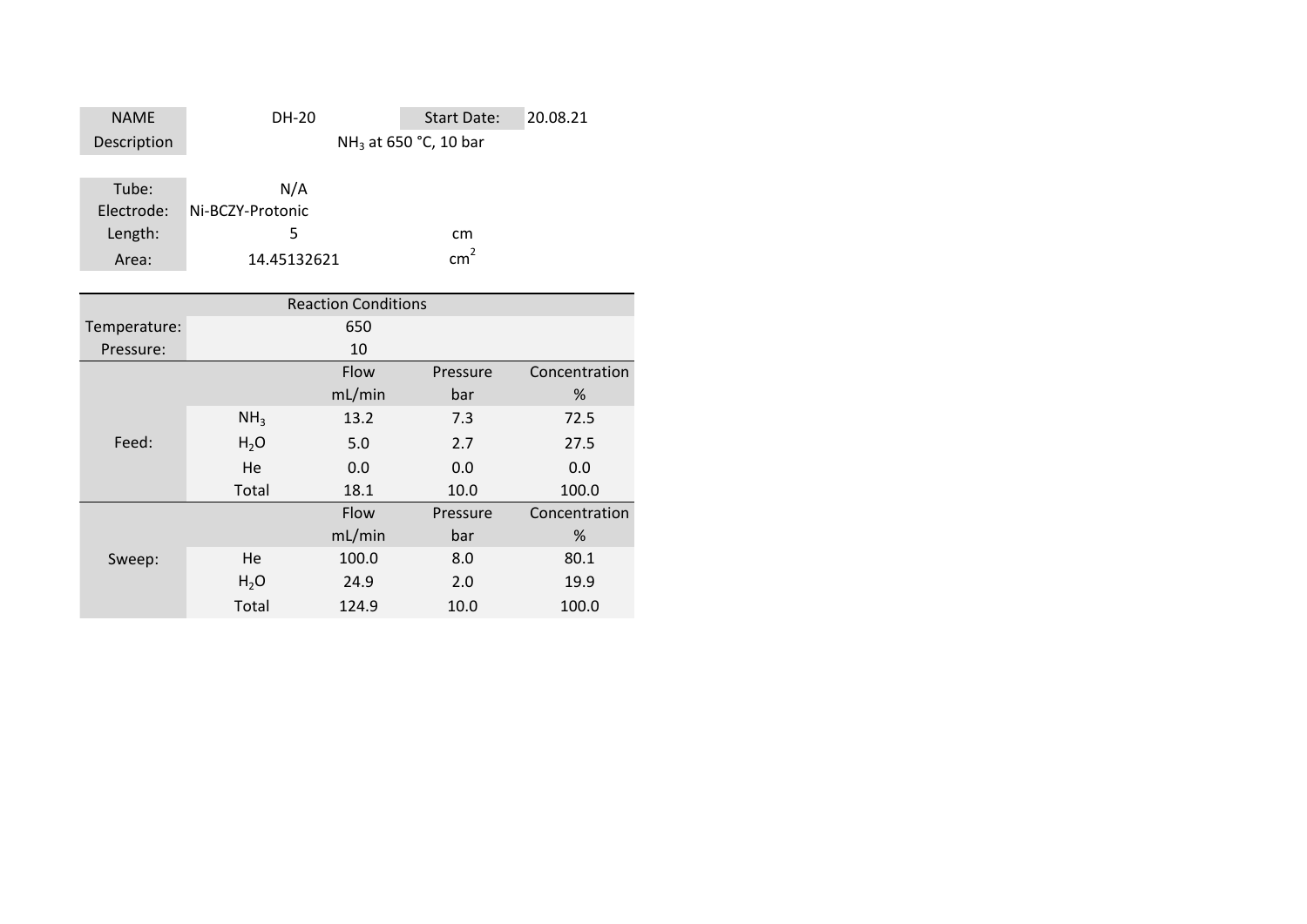| <b>NAME</b> | DH-20            | <b>Start Date:</b>                | 20.08.21 |
|-------------|------------------|-----------------------------------|----------|
| Description |                  | NH <sub>3</sub> at 650 °C, 10 bar |          |
|             |                  |                                   |          |
| Tube:       | N/A              |                                   |          |
| Electrode:  | Ni-BCZY-Protonic |                                   |          |

 $cm<sup>2</sup>$ 

| Length: |             | cm              |
|---------|-------------|-----------------|
| Area:   | 14.45132621 | cm <sup>2</sup> |

|              |                  | <b>Reaction Conditions</b> |          |               |
|--------------|------------------|----------------------------|----------|---------------|
| Temperature: |                  | 650                        |          |               |
| Pressure:    |                  | 10                         |          |               |
|              |                  | Flow                       | Pressure | Concentration |
|              |                  | mL/min                     | bar      | %             |
|              | NH <sub>3</sub>  | 13.2                       | 7.3      | 72.5          |
| Feed:        | H <sub>2</sub> O | 5.0                        | 2.7      | 27.5          |
|              | He               | 0.0                        | 0.0      | 0.0           |
|              | Total            | 18.1                       | 10.0     | 100.0         |
|              |                  | Flow                       | Pressure | Concentration |
|              |                  | mL/min                     | bar      | %             |
| Sweep:       | He               | 100.0                      | 8.0      | 80.1          |
|              | $H_2O$           | 24.9                       | 2.0      | 19.9          |
|              | Total            | 124.9                      | 10.0     | 100.0         |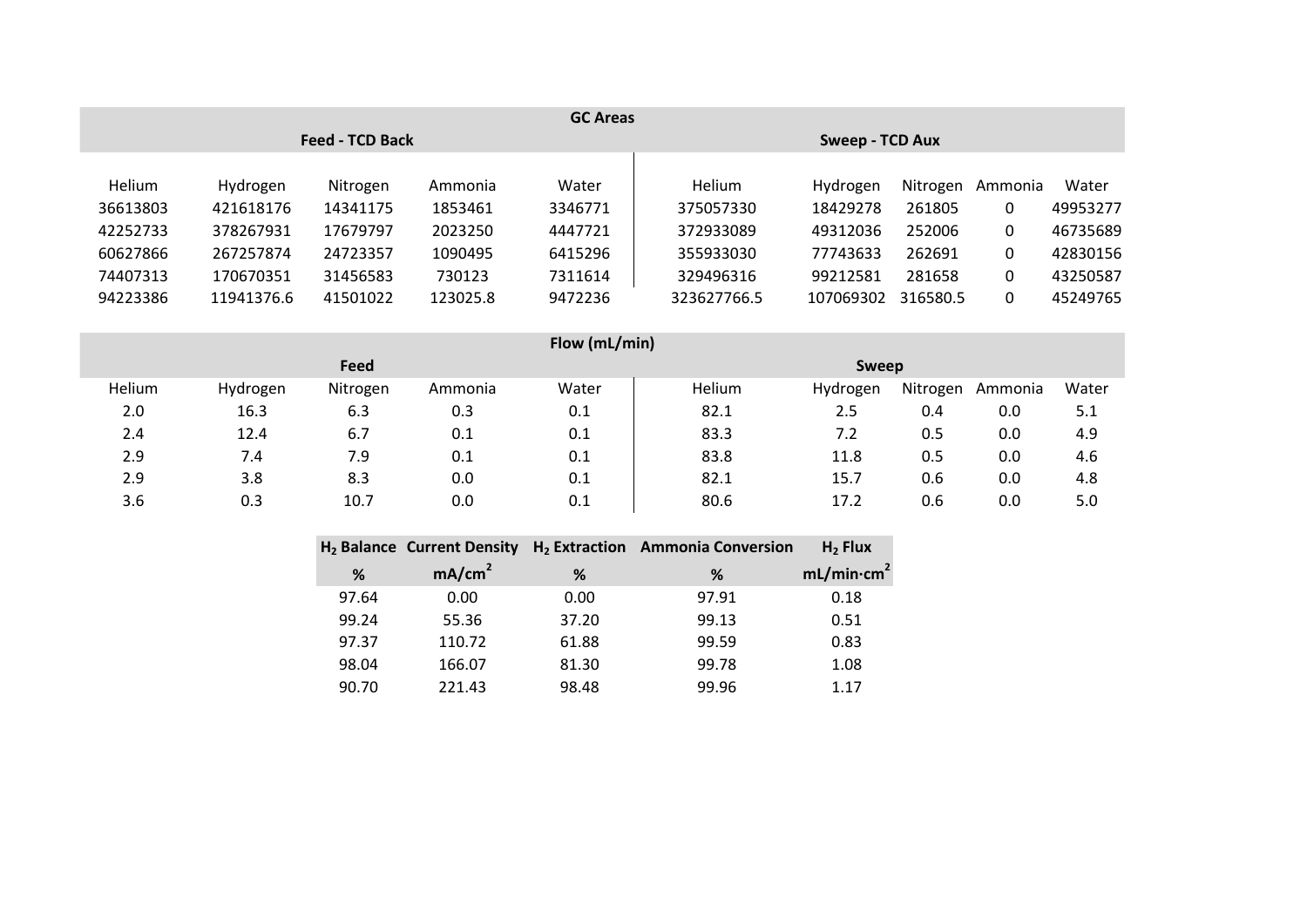| <b>GC Areas</b> |            |                        |          |                 |               |           |          |         |          |  |
|-----------------|------------|------------------------|----------|-----------------|---------------|-----------|----------|---------|----------|--|
|                 |            | <b>Feed - TCD Back</b> |          | Sweep - TCD Aux |               |           |          |         |          |  |
|                 |            |                        |          |                 |               |           |          |         |          |  |
| Helium          | Hydrogen   | Nitrogen               | Ammonia  | Water           | <b>Helium</b> | Hydrogen  | Nitrogen | Ammonia | Water    |  |
| 36613803        | 421618176  | 14341175               | 1853461  | 3346771         | 375057330     | 18429278  | 261805   | 0       | 49953277 |  |
| 42252733        | 378267931  | 17679797               | 2023250  | 4447721         | 372933089     | 49312036  | 252006   | 0       | 46735689 |  |
| 60627866        | 267257874  | 24723357               | 1090495  | 6415296         | 355933030     | 77743633  | 262691   | 0       | 42830156 |  |
| 74407313        | 170670351  | 31456583               | 730123   | 7311614         | 329496316     | 99212581  | 281658   | 0       | 43250587 |  |
| 94223386        | 11941376.6 | 41501022               | 123025.8 | 9472236         | 323627766.5   | 107069302 | 316580.5 | 0       | 45249765 |  |

|        | Flow (mL/min) |          |         |              |        |          |          |         |       |  |
|--------|---------------|----------|---------|--------------|--------|----------|----------|---------|-------|--|
|        |               | Feed     |         | <b>Sweep</b> |        |          |          |         |       |  |
| Helium | Hydrogen      | Nitrogen | Ammonia | Water        | Helium | Hydrogen | Nitrogen | Ammonia | Water |  |
| 2.0    | 16.3          | 6.3      | 0.3     | 0.1          | 82.1   | 2.5      | 0.4      | 0.0     | 5.1   |  |
| 2.4    | 12.4          | 6.7      | 0.1     | 0.1          | 83.3   | 7.2      | 0.5      | 0.0     | 4.9   |  |
| 2.9    | 7.4           | 7.9      | 0.1     | 0.1          | 83.8   | 11.8     | 0.5      | 0.0     | 4.6   |  |
| 2.9    | 3.8           | 8.3      | 0.0     | 0.1          | 82.1   | 15.7     | 0.6      | 0.0     | 4.8   |  |
| 3.6    | 0.3           | 10.7     | 0.0     | 0.1          | 80.6   | 17.2     | 0.6      | 0.0     | 5.0   |  |
|        |               |          |         |              |        |          |          |         |       |  |

|       | H <sub>2</sub> Balance Current Density |       | H <sub>2</sub> Extraction Ammonia Conversion | $H2$ Flux              |
|-------|----------------------------------------|-------|----------------------------------------------|------------------------|
| %     | mA/cm <sup>2</sup>                     | %     | %                                            | mL/min·cm <sup>2</sup> |
| 97.64 | 0.00                                   | 0.00  | 97.91                                        | 0.18                   |
| 99.24 | 55.36                                  | 37.20 | 99.13                                        | 0.51                   |
| 97.37 | 110.72                                 | 61.88 | 99.59                                        | 0.83                   |
| 98.04 | 166.07                                 | 81.30 | 99.78                                        | 1.08                   |
| 90.70 | 221.43                                 | 98.48 | 99.96                                        | 117                    |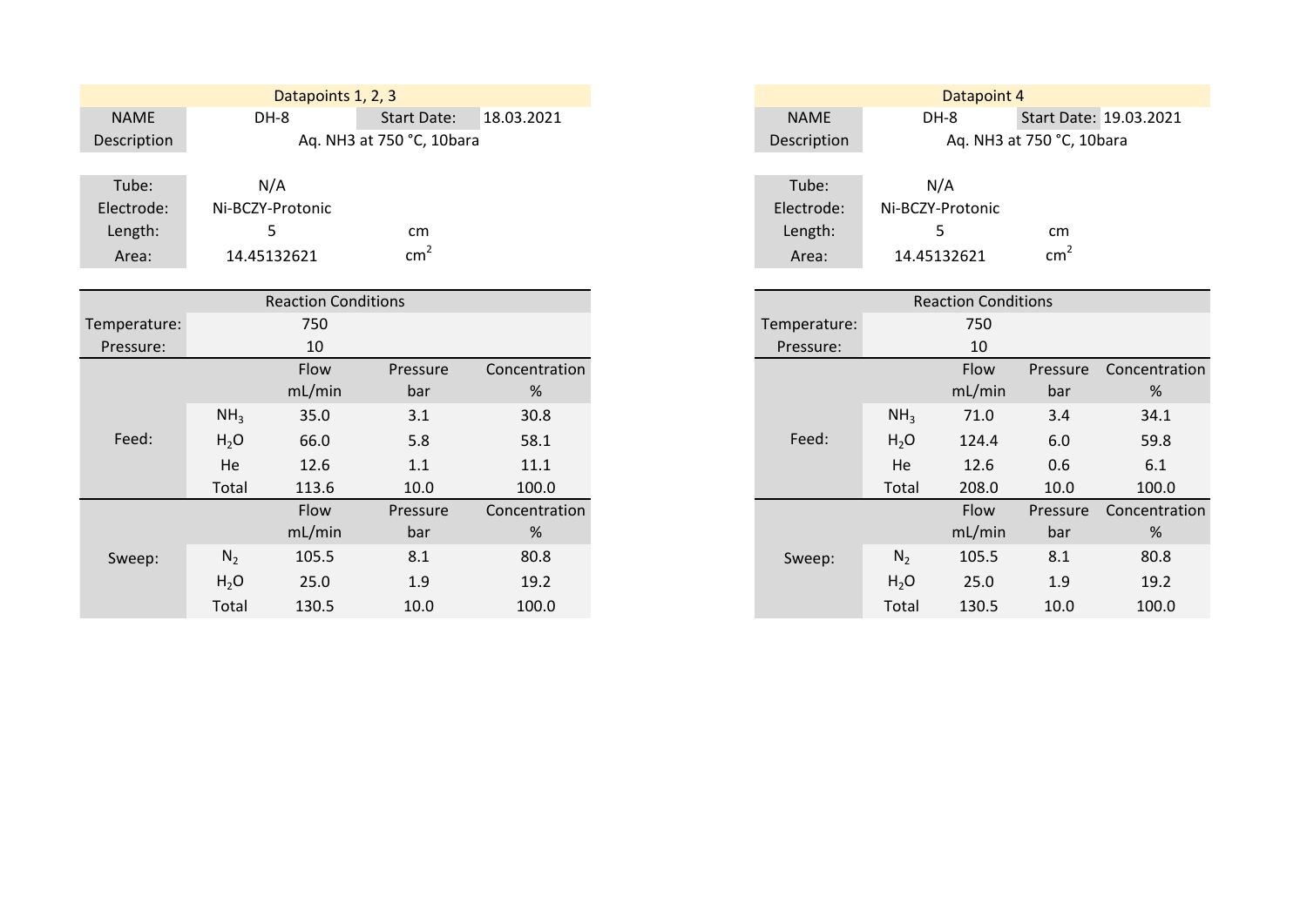|             | Datapoints 1, 2, 3 |                           |            |             | Datapoint 4      |                           |
|-------------|--------------------|---------------------------|------------|-------------|------------------|---------------------------|
| <b>NAME</b> | DH-8               | <b>Start Date:</b>        | 18.03.2021 | <b>NAME</b> | DH-8             | Start Date: 19.03.2021    |
| Description |                    | Aq. NH3 at 750 °C, 10bara |            | Description |                  | Ag. NH3 at 750 °C, 10bara |
|             |                    |                           |            |             |                  |                           |
| Tube:       | N/A                |                           |            | Tube:       | N/A              |                           |
| Electrode:  | Ni-BCZY-Protonic   |                           |            | Electrode:  | Ni-BCZY-Protonic |                           |
| Length:     |                    | cm                        |            | Length:     |                  | cm                        |
| Area:       | 14.45132621        | $\mathsf{cm}^2$           |            | Area:       | 14.45132621      | cm <sub>2</sub>           |

|              |                  | <b>Reaction Conditions</b> |          |               |              |  |
|--------------|------------------|----------------------------|----------|---------------|--------------|--|
| Temperature: |                  | 750                        |          |               | Temperature: |  |
| Pressure:    |                  | 10                         |          |               | Pressure:    |  |
|              |                  | Flow                       | Pressure | Concentration |              |  |
|              |                  | mL/min                     | bar      | %             |              |  |
|              | NH <sub>3</sub>  | 35.0                       | 3.1      | 30.8          |              |  |
| Feed:        | H <sub>2</sub> O | 66.0                       | 5.8      | 58.1          | Feed:        |  |
|              | He               | 12.6                       | 1.1      | 11.1          |              |  |
|              | Total            | 113.6                      | 10.0     | 100.0         |              |  |
|              |                  | Flow                       | Pressure | Concentration |              |  |
|              |                  | mL/min                     | bar      | %             |              |  |
| Sweep:       | $N_2$            | 105.5                      | 8.1      | 80.8          | Sweep:       |  |
|              | H <sub>2</sub> O | 25.0                       | 1.9      | 19.2          |              |  |
|              | Total            | 130.5                      | 10.0     | 100.0         |              |  |

| Datapoint 4 |                           |                        |  |  |  |  |  |  |  |  |
|-------------|---------------------------|------------------------|--|--|--|--|--|--|--|--|
| <b>NAME</b> | DH-8                      | Start Date: 19.03.2021 |  |  |  |  |  |  |  |  |
| Description | Aq. NH3 at 750 °C, 10bara |                        |  |  |  |  |  |  |  |  |
|             |                           |                        |  |  |  |  |  |  |  |  |
| Tube:       | N/A                       |                        |  |  |  |  |  |  |  |  |
| Electrode:  | Ni-BCZY-Protonic          |                        |  |  |  |  |  |  |  |  |
| Length:     | 5                         | cm                     |  |  |  |  |  |  |  |  |
| Area:       | 14.45132621               |                        |  |  |  |  |  |  |  |  |

|                  | <b>Reaction Conditions</b> |          |               |
|------------------|----------------------------|----------|---------------|
|                  | 750                        |          |               |
|                  | 10                         |          |               |
|                  | Flow                       | Pressure | Concentration |
|                  | mL/min                     | bar      | %             |
| NH <sub>3</sub>  | 35.0                       | 3.1      | 30.8          |
| H <sub>2</sub> O | 66.0                       | 5.8      | 58.1          |
| He               | 12.6                       | 1.1      | 11.1          |
| Total            | 113.6                      | 10.0     | 100.0         |
|                  | Flow                       | Pressure | Concentration |
|                  | mL/min                     | bar      | %             |
| $N_2$            | 105.5                      | 8.1      | 80.8          |
| H <sub>2</sub> O | 25.0                       | 1.9      | 19.2          |
| Total            | 130.5                      | 10.0     | 100.0         |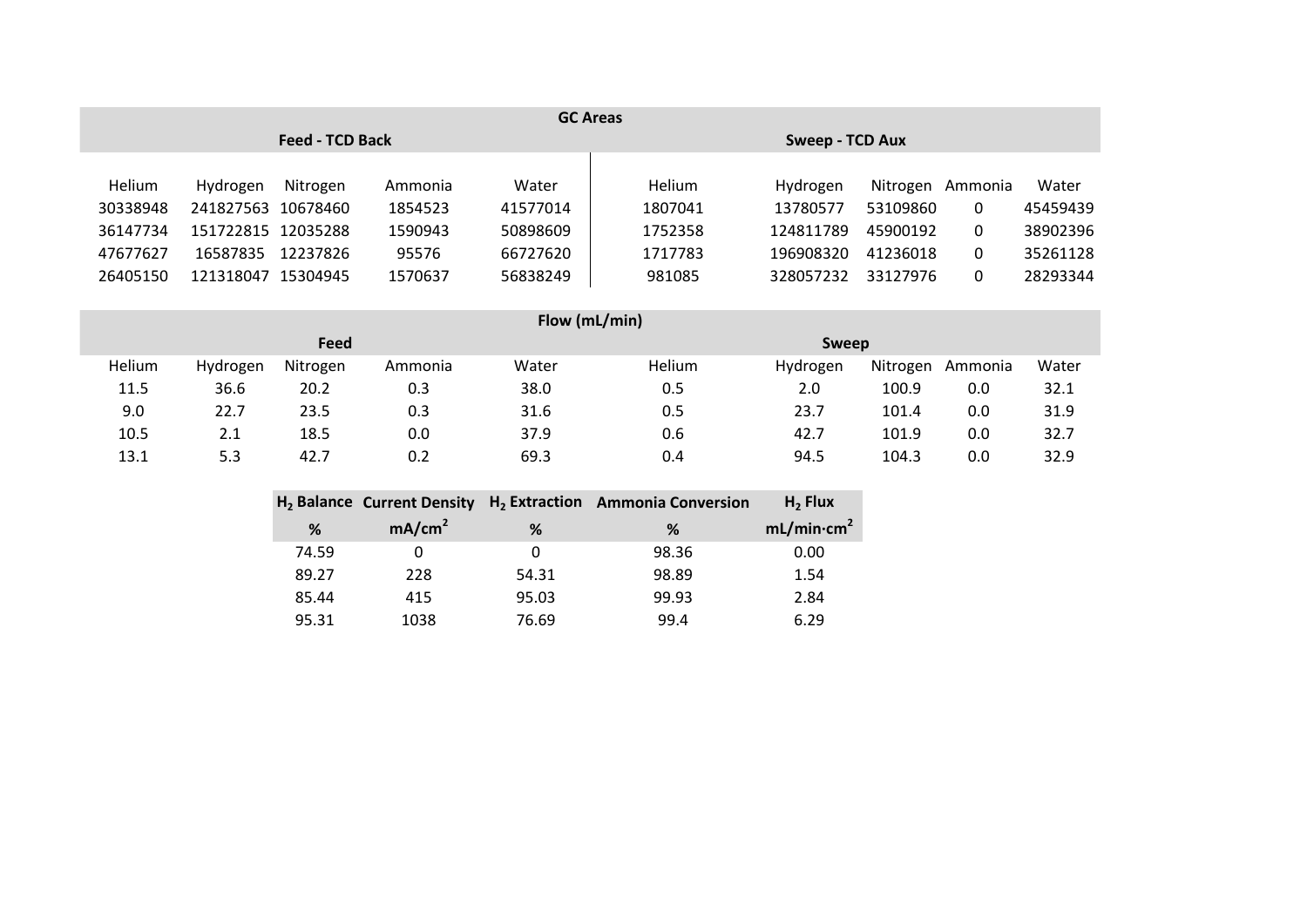|               | <b>GC Areas</b> |                        |         |          |                        |           |          |         |          |  |
|---------------|-----------------|------------------------|---------|----------|------------------------|-----------|----------|---------|----------|--|
|               |                 | <b>Feed - TCD Back</b> |         |          | <b>Sweep - TCD Aux</b> |           |          |         |          |  |
|               |                 |                        |         |          |                        |           |          |         |          |  |
| <b>Helium</b> | Hydrogen        | Nitrogen               | Ammonia | Water    | <b>Helium</b>          | Hydrogen  | Nitrogen | Ammonia | Water    |  |
| 30338948      | 241827563       | 10678460               | 1854523 | 41577014 | 1807041                | 13780577  | 53109860 | 0       | 45459439 |  |
| 36147734      | 151722815       | 12035288               | 1590943 | 50898609 | 1752358                | 124811789 | 45900192 | 0       | 38902396 |  |
| 47677627      | 16587835        | 12237826               | 95576   | 66727620 | 1717783                | 196908320 | 41236018 | 0       | 35261128 |  |
| 26405150      | 121318047       | 15304945               | 1570637 | 56838249 | 981085                 | 328057232 | 33127976 | 0       | 28293344 |  |
|               |                 |                        |         |          |                        |           |          |         |          |  |

|        | Flow (mL/min) |          |         |       |              |          |          |         |       |  |
|--------|---------------|----------|---------|-------|--------------|----------|----------|---------|-------|--|
|        |               | Feed     |         |       | <b>Sweep</b> |          |          |         |       |  |
| Helium | Hydrogen      | Nitrogen | Ammonia | Water | Helium       | Hydrogen | Nitrogen | Ammonia | Water |  |
| 11.5   | 36.6          | 20.2     | 0.3     | 38.0  | 0.5          | 2.0      | 100.9    | 0.0     | 32.1  |  |
| 9.0    | 22.7          | 23.5     | 0.3     | 31.6  | 0.5          | 23.7     | 101.4    | 0.0     | 31.9  |  |
| 10.5   | 2.1           | 18.5     | 0.0     | 37.9  | 0.6          | 42.7     | 101.9    | 0.0     | 32.7  |  |
| 13.1   | 5.3           | 42.7     | 0.2     | 69.3  | 0.4          | 94.5     | 104.3    | 0.0     | 32.9  |  |

|       |                    |       | $H_2$ Balance Current Density $H_2$ Extraction Ammonia Conversion | $H2$ Flux              |
|-------|--------------------|-------|-------------------------------------------------------------------|------------------------|
| %     | mA/cm <sup>2</sup> | %     | ℅                                                                 | mL/min·cm <sup>2</sup> |
| 74.59 |                    | O     | 98.36                                                             | 0.00                   |
| 89.27 | 228                | 54.31 | 98.89                                                             | 1.54                   |
| 85.44 | 415                | 95.03 | 99.93                                                             | 2.84                   |
| 95.31 | 1038               | 76.69 | 99.4                                                              | 6.29                   |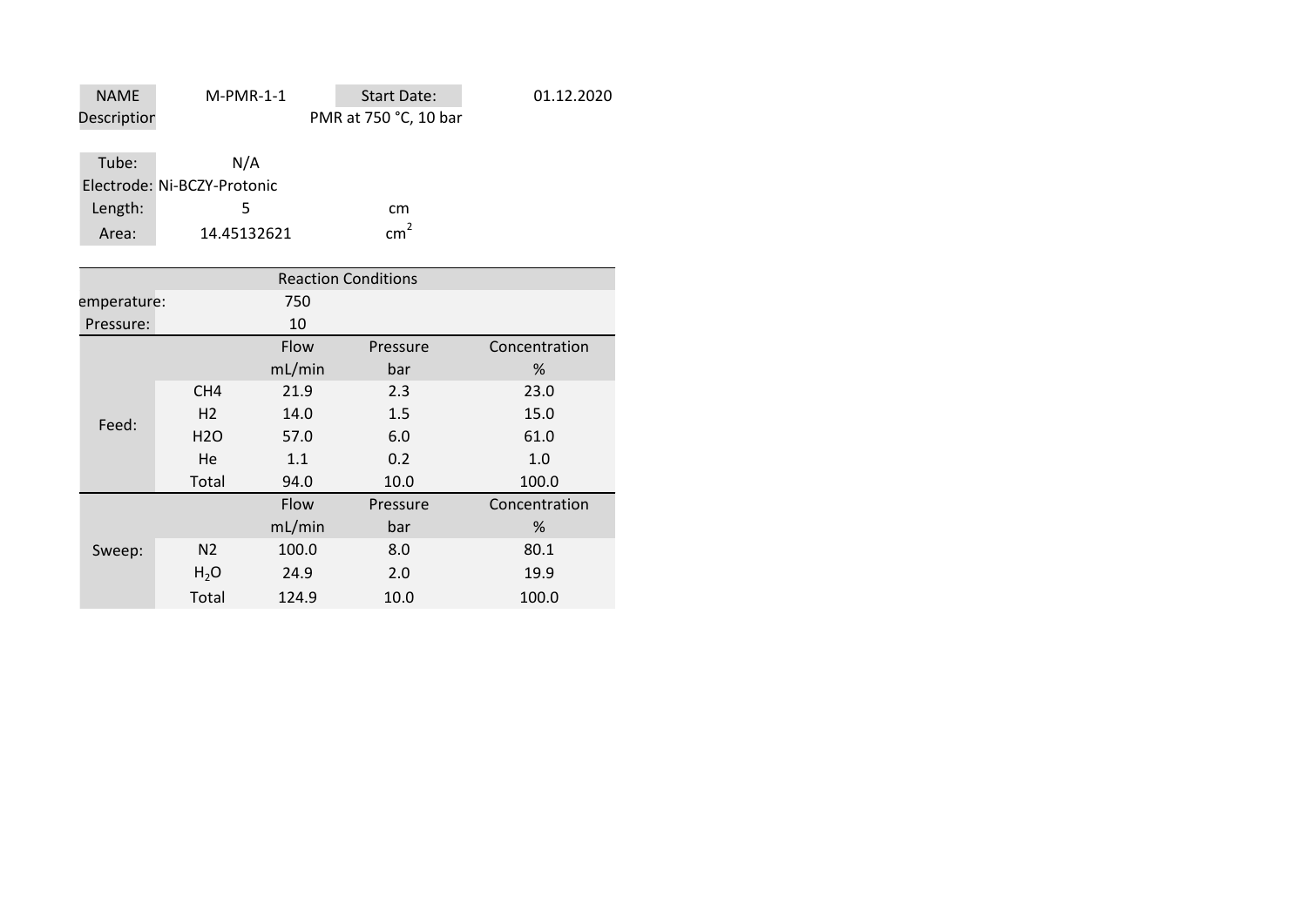| <b>NAME</b> | $M-PMR-1-1$                 | Start Date:           | 01.12.2020 |
|-------------|-----------------------------|-----------------------|------------|
| Descriptior |                             | PMR at 750 °C, 10 bar |            |
|             |                             |                       |            |
| Tube:       | N/A                         |                       |            |
|             | Electrode: Ni-BCZY-Protonic |                       |            |
| Length:     |                             | cm                    |            |

 $cm<sup>2</sup>$ 

Area: 14.45132621 cm

|                    | <b>Reaction Conditions</b> |        |          |               |  |  |  |
|--------------------|----------------------------|--------|----------|---------------|--|--|--|
| 750<br>emperature: |                            |        |          |               |  |  |  |
| 10<br>Pressure:    |                            |        |          |               |  |  |  |
|                    |                            | Flow   | Pressure | Concentration |  |  |  |
|                    |                            | mL/min | bar      | %             |  |  |  |
|                    | CH <sub>4</sub>            | 21.9   | 2.3      | 23.0          |  |  |  |
| Feed:              | H <sub>2</sub>             | 14.0   | 1.5      | 15.0          |  |  |  |
|                    | H2O                        | 57.0   | 6.0      | 61.0          |  |  |  |
|                    | He                         | 1.1    | 0.2      | 1.0           |  |  |  |
|                    | Total                      | 94.0   | 10.0     | 100.0         |  |  |  |
|                    |                            | Flow   | Pressure | Concentration |  |  |  |
|                    |                            | mL/min | bar      | %             |  |  |  |
| Sweep:             | N <sub>2</sub>             | 100.0  | 8.0      | 80.1          |  |  |  |
|                    | H <sub>2</sub> O           | 24.9   | 2.0      | 19.9          |  |  |  |
|                    | Total                      | 124.9  | 10.0     | 100.0         |  |  |  |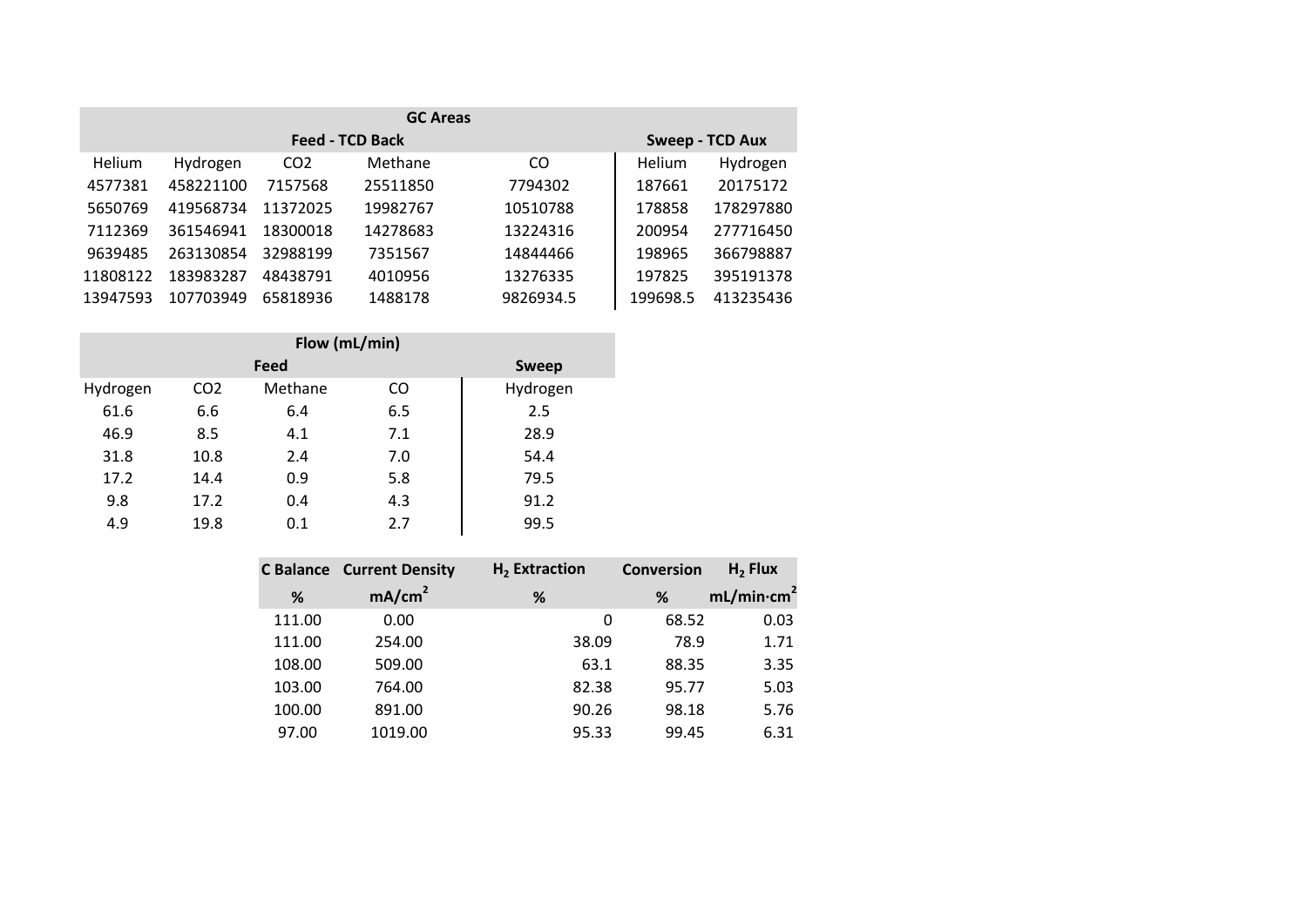| <b>GC Areas</b> |           |                 |                        |           |          |                        |
|-----------------|-----------|-----------------|------------------------|-----------|----------|------------------------|
|                 |           |                 | <b>Feed - TCD Back</b> |           |          | <b>Sweep - TCD Aux</b> |
| Helium          | Hydrogen  | CO <sub>2</sub> | Methane                | CO.       | Helium   | Hydrogen               |
| 4577381         | 458221100 | 7157568         | 25511850               | 7794302   | 187661   | 20175172               |
| 5650769         | 419568734 | 11372025        | 19982767               | 10510788  | 178858   | 178297880              |
| 7112369         | 361546941 | 18300018        | 14278683               | 13224316  | 200954   | 277716450              |
| 9639485         | 263130854 | 32988199        | 7351567                | 14844466  | 198965   | 366798887              |
| 11808122        | 183983287 | 48438791        | 4010956                | 13276335  | 197825   | 395191378              |
| 13947593        | 107703949 | 65818936        | 1488178                | 9826934.5 | 199698.5 | 413235436              |

| Flow (mL/min) |                 |              |           |          |  |
|---------------|-----------------|--------------|-----------|----------|--|
|               |                 | <b>Sweep</b> |           |          |  |
| Hydrogen      | CO <sub>2</sub> | Methane      | <b>CO</b> | Hydrogen |  |
| 61.6          | 6.6             | 6.4          | 6.5       | 2.5      |  |
| 46.9          | 8.5             | 4.1          | 7.1       | 28.9     |  |
| 31.8          | 10.8            | 2.4          | 7.0       | 54.4     |  |
| 17.2          | 14.4            | 0.9          | 5.8       | 79.5     |  |
| 9.8           | 17.2            | 0.4          | 4.3       | 91.2     |  |
| 4.9           | 19.8            | 0.1          | 2.7       | 99.5     |  |

|        | <b>C Balance Current Density</b> | $H2$ Extraction | <b>Conversion</b> | $H2$ Flux              |
|--------|----------------------------------|-----------------|-------------------|------------------------|
| %      | mA/cm <sup>2</sup>               | %               | %                 | mL/min·cm <sup>2</sup> |
| 111.00 | 0.00                             | 0               | 68.52             | 0.03                   |
| 111.00 | 254.00                           | 38.09           | 78.9              | 1.71                   |
| 108.00 | 509.00                           | 63.1            | 88.35             | 3.35                   |
| 103.00 | 764.00                           | 82.38           | 95.77             | 5.03                   |
| 100.00 | 891.00                           | 90.26           | 98.18             | 5.76                   |
| 97.00  | 1019.00                          | 95.33           | 99.45             | 6.31                   |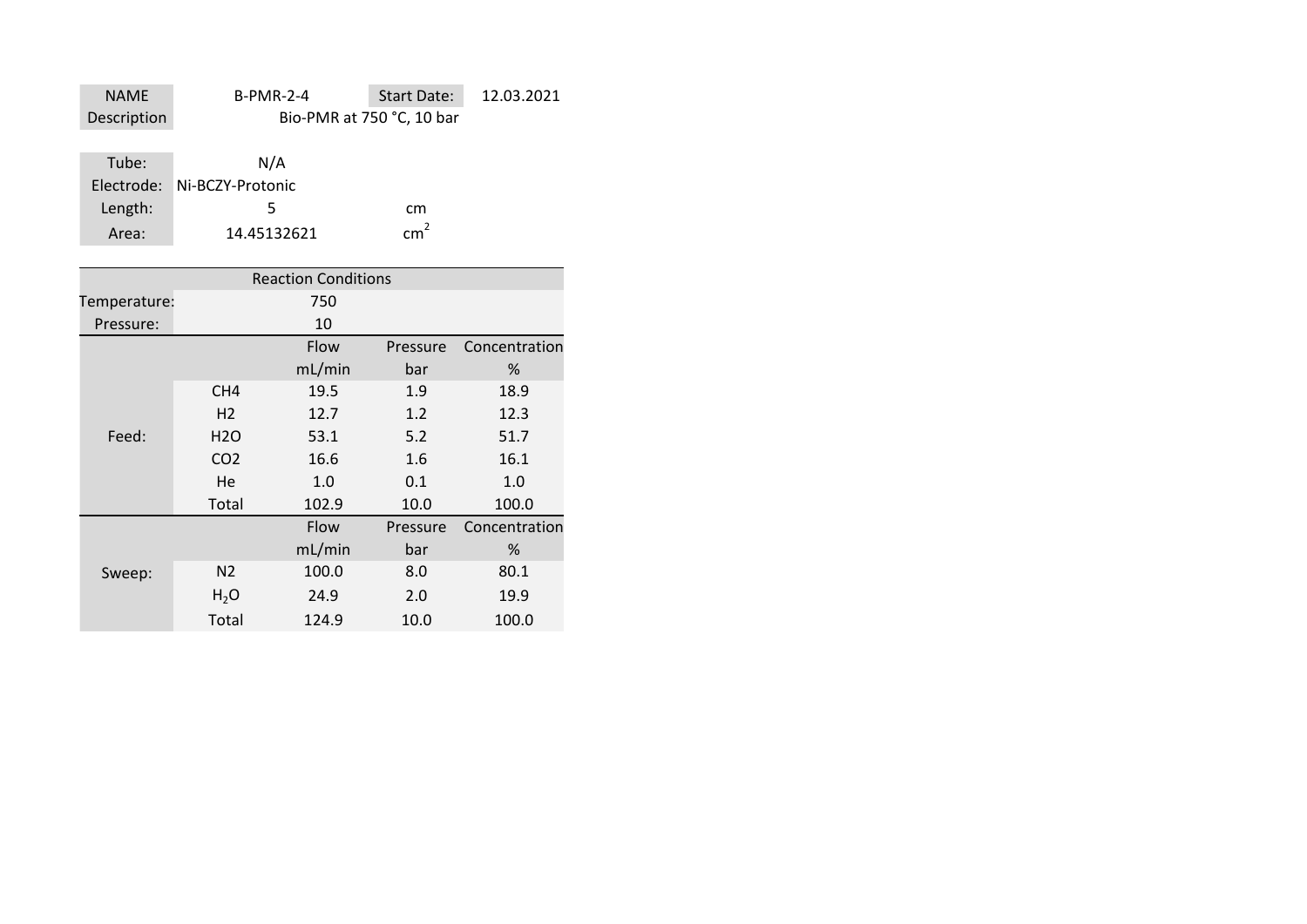| <b>NAME</b> | <b>B-PMR-2-4</b> | <b>Start Date:</b>        | 12.03.2021 |
|-------------|------------------|---------------------------|------------|
| Description |                  | Bio-PMR at 750 °C, 10 bar |            |

| Tube:   | N/A                         |     |
|---------|-----------------------------|-----|
|         | Electrode: Ni-BCZY-Protonic |     |
| Length: | ъ.                          | cm  |
| Area:   | 14.45132621                 | cm' |

| <b>Reaction Conditions</b> |                  |        |          |               |
|----------------------------|------------------|--------|----------|---------------|
| Temperature:               |                  | 750    |          |               |
| Pressure:                  |                  | 10     |          |               |
|                            |                  | Flow   | Pressure | Concentration |
|                            |                  | mL/min | bar      | %             |
|                            | CH <sub>4</sub>  | 19.5   | 1.9      | 18.9          |
|                            | H <sub>2</sub>   | 12.7   | 1.2      | 12.3          |
| Feed:                      | H <sub>2</sub> O | 53.1   | 5.2      | 51.7          |
|                            | CO <sub>2</sub>  | 16.6   | 1.6      | 16.1          |
|                            | He               | 1.0    | 0.1      | 1.0           |
|                            | Total            | 102.9  | 10.0     | 100.0         |
|                            |                  | Flow   | Pressure | Concentration |
|                            |                  | mL/min | bar      | %             |
| Sweep:                     | N <sub>2</sub>   | 100.0  | 8.0      | 80.1          |
|                            | $H_2O$           | 24.9   | 2.0      | 19.9          |
|                            | Total            | 124.9  | 10.0     | 100.0         |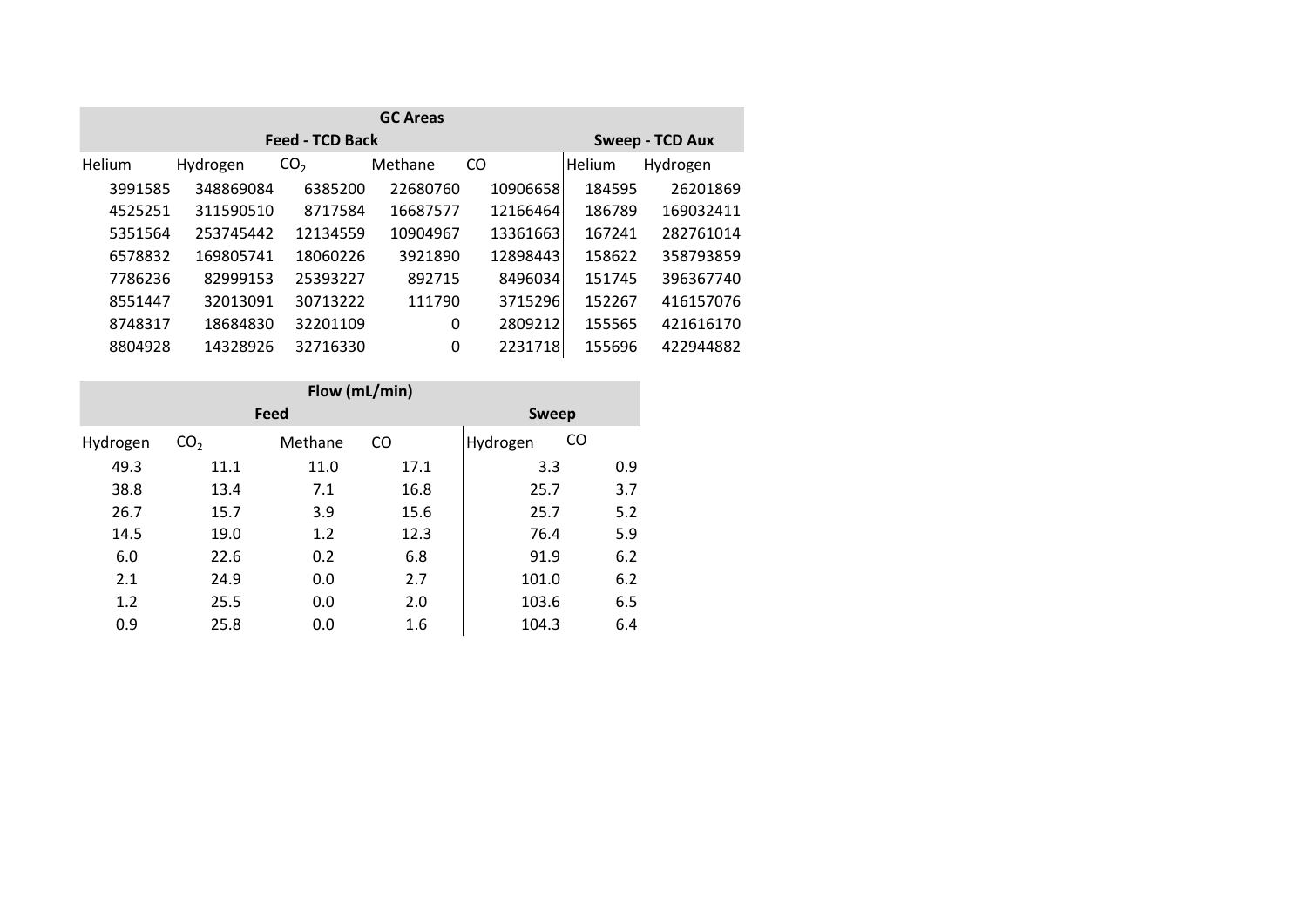| <b>GC Areas</b> |           |                        |          |          |        |                 |
|-----------------|-----------|------------------------|----------|----------|--------|-----------------|
|                 |           | <b>Feed - TCD Back</b> |          |          |        | Sweep - TCD Aux |
| Helium          | Hydrogen  | CO <sub>2</sub>        | Methane  | CO       | Helium | Hydrogen        |
| 3991585         | 348869084 | 6385200                | 22680760 | 10906658 | 184595 | 26201869        |
| 4525251         | 311590510 | 8717584                | 16687577 | 12166464 | 186789 | 169032411       |
| 5351564         | 253745442 | 12134559               | 10904967 | 13361663 | 167241 | 282761014       |
| 6578832         | 169805741 | 18060226               | 3921890  | 12898443 | 158622 | 358793859       |
| 7786236         | 82999153  | 25393227               | 892715   | 8496034  | 151745 | 396367740       |
| 8551447         | 32013091  | 30713222               | 111790   | 3715296  | 152267 | 416157076       |
| 8748317         | 18684830  | 32201109               | 0        | 2809212  | 155565 | 421616170       |
| 8804928         | 14328926  | 32716330               | 0        | 2231718  | 155696 | 422944882       |

| Flow (mL/min) |                 |         |           |              |     |  |  |
|---------------|-----------------|---------|-----------|--------------|-----|--|--|
|               |                 | Feed    |           | <b>Sweep</b> |     |  |  |
| Hydrogen      | CO <sub>2</sub> | Methane | <b>CO</b> | Hydrogen     | CO  |  |  |
| 49.3          | 11.1            | 11.0    | 17.1      | 3.3          | 0.9 |  |  |
| 38.8          | 13.4            | 7.1     | 16.8      | 25.7         | 3.7 |  |  |
| 26.7          | 15.7            | 3.9     | 15.6      | 25.7         | 5.2 |  |  |
| 14.5          | 19.0            | 1.2     | 12.3      | 76.4         | 5.9 |  |  |
| 6.0           | 22.6            | 0.2     | 6.8       | 91.9         | 6.2 |  |  |
| 2.1           | 24.9            | 0.0     | 2.7       | 101.0        | 6.2 |  |  |
| 1.2           | 25.5            | 0.0     | 2.0       | 103.6        | 6.5 |  |  |
| 0.9           | 25.8            | 0.0     | 1.6       | 104.3        | 6.4 |  |  |